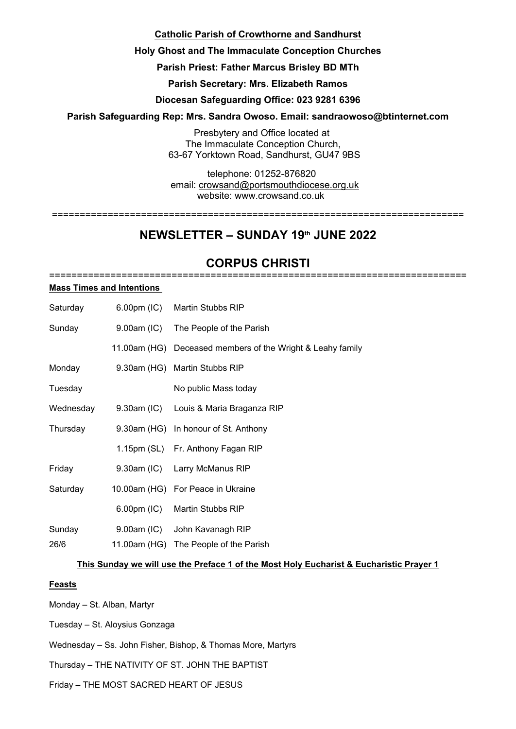## **Catholic Parish of Crowthorne and Sandhurst**

## **Holy Ghost and The Immaculate Conception Churches**

## **Parish Priest: Father Marcus Brisley BD MTh**

**Parish Secretary: Mrs. Elizabeth Ramos**

## **Diocesan Safeguarding Office: 023 9281 6396**

## **Parish Safeguarding Rep: Mrs. Sandra Owoso. Email: sandraowoso@btinternet.com**

Presbytery and Office located at The Immaculate Conception Church, 63-67 Yorktown Road, Sandhurst, GU47 9BS

telephone: 01252-876820 email: crowsand@portsmouthdiocese.org.uk

website: www.crowsand.co.uk ==========================================================================

# **NEWSLETTER – SUNDAY 19th JUNE 2022**

### **CORPUS CHRISTI** ===========================================================================

#### **Mass Times and Intentions**

| Saturday  | $6.00 \text{pm}$ (IC) | Martin Stubbs RIP                                          |
|-----------|-----------------------|------------------------------------------------------------|
| Sunday    | $9.00am$ (IC)         | The People of the Parish                                   |
|           |                       | 11.00am (HG) Deceased members of the Wright & Leahy family |
| Monday    |                       | 9.30am (HG) Martin Stubbs RIP                              |
| Tuesday   |                       | No public Mass today                                       |
| Wednesday | 9.30am (IC)           | Louis & Maria Braganza RIP                                 |
| Thursday  |                       | 9.30am (HG) In honour of St. Anthony                       |
|           |                       | 1.15pm (SL) Fr. Anthony Fagan RIP                          |
| Friday    | 9.30am (IC)           | Larry McManus RIP                                          |
| Saturday  |                       | 10.00am (HG) For Peace in Ukraine                          |
|           | $6.00pm$ (IC)         | Martin Stubbs RIP                                          |
| Sunday    | 9.00am (IC)           | John Kavanagh RIP                                          |
| 26/6      |                       | 11.00am (HG) The People of the Parish                      |

### **This Sunday we will use the Preface 1 of the Most Holy Eucharist & Eucharistic Prayer 1**

### **Feasts**

Monday – St. Alban, Martyr

Tuesday – St. Aloysius Gonzaga

Wednesday – Ss. John Fisher, Bishop, & Thomas More, Martyrs

Thursday – THE NATIVITY OF ST. JOHN THE BAPTIST

Friday – THE MOST SACRED HEART OF JESUS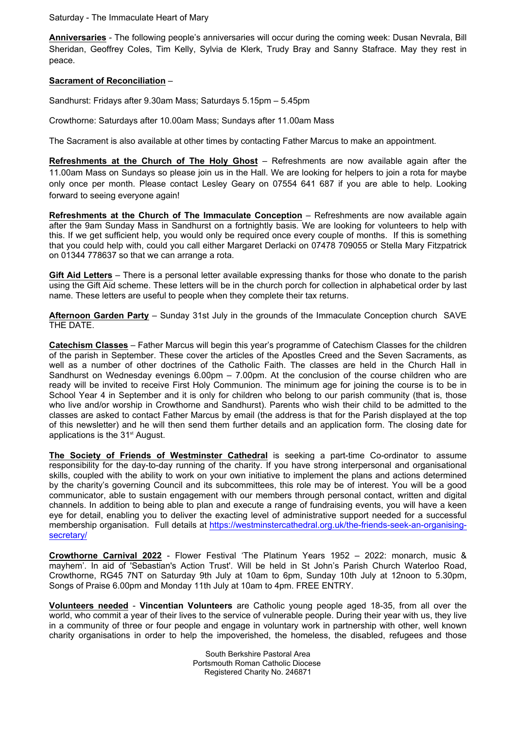Saturday - The Immaculate Heart of Mary

**Anniversaries** - The following people's anniversaries will occur during the coming week: Dusan Nevrala, Bill Sheridan, Geoffrey Coles, Tim Kelly, Sylvia de Klerk, Trudy Bray and Sanny Stafrace. May they rest in peace.

#### **Sacrament of Reconciliation** –

Sandhurst: Fridays after 9.30am Mass; Saturdays 5.15pm – 5.45pm

Crowthorne: Saturdays after 10.00am Mass; Sundays after 11.00am Mass

The Sacrament is also available at other times by contacting Father Marcus to make an appointment.

**Refreshments at the Church of The Holy Ghost** – Refreshments are now available again after the 11.00am Mass on Sundays so please join us in the Hall. We are looking for helpers to join a rota for maybe only once per month. Please contact Lesley Geary on 07554 641 687 if you are able to help. Looking forward to seeing everyone again!

**Refreshments at the Church of The Immaculate Conception** – Refreshments are now available again after the 9am Sunday Mass in Sandhurst on a fortnightly basis. We are looking for volunteers to help with this. If we get sufficient help, you would only be required once every couple of months. If this is something that you could help with, could you call either Margaret Derlacki on 07478 709055 or Stella Mary Fitzpatrick on 01344 778637 so that we can arrange a rota.

**Gift Aid Letters** – There is a personal letter available expressing thanks for those who donate to the parish using the Gift Aid scheme. These letters will be in the church porch for collection in alphabetical order by last name. These letters are useful to people when they complete their tax returns.

**Afternoon Garden Party** – Sunday 31st July in the grounds of the Immaculate Conception church SAVE THE DATE.

**Catechism Classes** – Father Marcus will begin this year's programme of Catechism Classes for the children of the parish in September. These cover the articles of the Apostles Creed and the Seven Sacraments, as well as a number of other doctrines of the Catholic Faith. The classes are held in the Church Hall in Sandhurst on Wednesday evenings 6.00pm – 7.00pm. At the conclusion of the course children who are ready will be invited to receive First Holy Communion. The minimum age for joining the course is to be in School Year 4 in September and it is only for children who belong to our parish community (that is, those who live and/or worship in Crowthorne and Sandhurst). Parents who wish their child to be admitted to the classes are asked to contact Father Marcus by email (the address is that for the Parish displayed at the top of this newsletter) and he will then send them further details and an application form. The closing date for applications is the 31<sup>st</sup> August.

**The Society of Friends of Westminster Cathedral** is seeking a part-time Co-ordinator to assume responsibility for the day-to-day running of the charity. If you have strong interpersonal and organisational skills, coupled with the ability to work on your own initiative to implement the plans and actions determined by the charity's governing Council and its subcommittees, this role may be of interest. You will be a good communicator, able to sustain engagement with our members through personal contact, written and digital channels. In addition to being able to plan and execute a range of fundraising events, you will have a keen eye for detail, enabling you to deliver the exacting level of administrative support needed for a successful membership organisation. Full details at https://westminstercathedral.org.uk/the-friends-seek-an-organisingsecretary/

**Crowthorne Carnival 2022** - Flower Festival 'The Platinum Years 1952 – 2022: monarch, music & mayhem'. In aid of 'Sebastian's Action Trust'. Will be held in St John's Parish Church Waterloo Road, Crowthorne, RG45 7NT on Saturday 9th July at 10am to 6pm, Sunday 10th July at 12noon to 5.30pm, Songs of Praise 6.00pm and Monday 11th July at 10am to 4pm. FREE ENTRY.

**Volunteers needed** - **Vincentian Volunteers** are Catholic young people aged 18-35, from all over the world, who commit a year of their lives to the service of vulnerable people. During their year with us, they live in a community of three or four people and engage in voluntary work in partnership with other, well known charity organisations in order to help the impoverished, the homeless, the disabled, refugees and those

> South Berkshire Pastoral Area Portsmouth Roman Catholic Diocese Registered Charity No. 246871